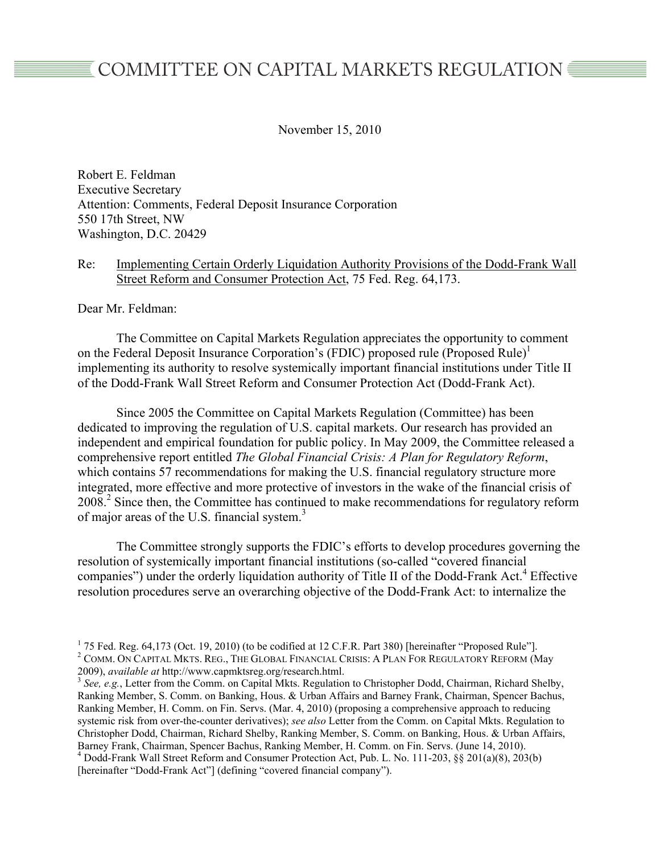# COMMITTEE ON CAPITAL MARKETS REGULATION

November 15, 2010

Robert E. Feldman Executive Secretary Attention: Comments, Federal Deposit Insurance Corporation 550 17th Street, NW Washington, D.C. 20429

## Re: Implementing Certain Orderly Liquidation Authority Provisions of the Dodd-Frank Wall Street Reform and Consumer Protection Act, 75 Fed. Reg. 64,173.

Dear Mr. Feldman:

The Committee on Capital Markets Regulation appreciates the opportunity to comment on the Federal Deposit Insurance Corporation's (FDIC) proposed rule (Proposed Rule)<sup>1</sup> implementing its authority to resolve systemically important financial institutions under Title II of the Dodd-Frank Wall Street Reform and Consumer Protection Act (Dodd-Frank Act).

Since 2005 the Committee on Capital Markets Regulation (Committee) has been dedicated to improving the regulation of U.S. capital markets. Our research has provided an independent and empirical foundation for public policy. In May 2009, the Committee released a comprehensive report entitled *The Global Financial Crisis: A Plan for Regulatory Reform*, which contains 57 recommendations for making the U.S. financial regulatory structure more integrated, more effective and more protective of investors in the wake of the financial crisis of 2008.<sup>2</sup> Since then, the Committee has continued to make recommendations for regulatory reform of major areas of the U.S. financial system.<sup>3</sup>

The Committee strongly supports the FDIC's efforts to develop procedures governing the resolution of systemically important financial institutions (so-called "covered financial companies") under the orderly liquidation authority of Title II of the Dodd-Frank Act.<sup>4</sup> Effective resolution procedures serve an overarching objective of the Dodd-Frank Act: to internalize the

<sup>3</sup> See, e.g., Letter from the Comm. on Capital Mkts. Regulation to Christopher Dodd, Chairman, Richard Shelby, Ranking Member, S. Comm. on Banking, Hous. & Urban Affairs and Barney Frank, Chairman, Spencer Bachus, Ranking Member, H. Comm. on Fin. Servs. (Mar. 4, 2010) (proposing a comprehensive approach to reducing systemic risk from over-the-counter derivatives); *see also* Letter from the Comm. on Capital Mkts. Regulation to Christopher Dodd, Chairman, Richard Shelby, Ranking Member, S. Comm. on Banking, Hous. & Urban Affairs, Barney Frank, Chairman, Spencer Bachus, Ranking Member, H. Comm. on Fin. Servs. (June 14, 2010). <sup>4</sup> Dodd-Frank Wall Street Reform and Consumer Protection Act, Pub. L. No. 111-203, §§ 201(a)(8), 203(b) [hereinafter "Dodd-Frank Act"] (defining "covered financial company").

 $1$  75 Fed. Reg. 64,173 (Oct. 19, 2010) (to be codified at 12 C.F.R. Part 380) [hereinafter "Proposed Rule"]. <sup>2</sup> COMM. ON CAPITAL MKTS. REG., THE GLOBAL FINANCIAL CRISIS: A PLAN FOR REGULATORY REFORM (May 2009), *available at http://www.capmktsreg.org/research.html.*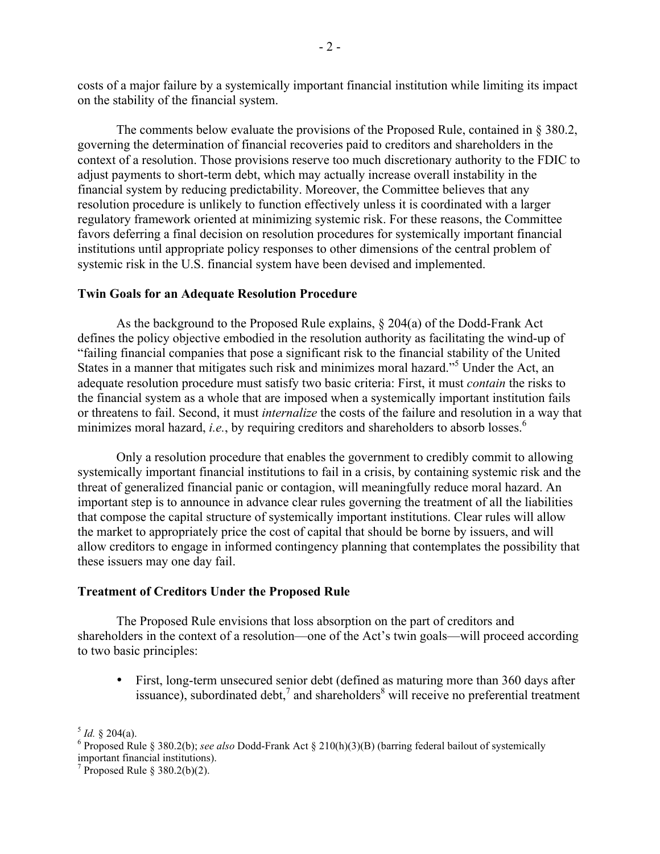costs of a major failure by a systemically important financial institution while limiting its impact on the stability of the financial system.

The comments below evaluate the provisions of the Proposed Rule, contained in  $\S 380.2$ , governing the determination of financial recoveries paid to creditors and shareholders in the context of a resolution. Those provisions reserve too much discretionary authority to the FDIC to adjust payments to short-term debt, which may actually increase overall instability in the financial system by reducing predictability. Moreover, the Committee believes that any resolution procedure is unlikely to function effectively unless it is coordinated with a larger regulatory framework oriented at minimizing systemic risk. For these reasons, the Committee favors deferring a final decision on resolution procedures for systemically important financial institutions until appropriate policy responses to other dimensions of the central problem of systemic risk in the U.S. financial system have been devised and implemented.

#### **Twin Goals for an Adequate Resolution Procedure**

As the background to the Proposed Rule explains, § 204(a) of the Dodd-Frank Act defines the policy objective embodied in the resolution authority as facilitating the wind-up of "failing financial companies that pose a significant risk to the financial stability of the United States in a manner that mitigates such risk and minimizes moral hazard."<sup>5</sup> Under the Act, an adequate resolution procedure must satisfy two basic criteria: First, it must *contain* the risks to the financial system as a whole that are imposed when a systemically important institution fails or threatens to fail. Second, it must *internalize* the costs of the failure and resolution in a way that minimizes moral hazard, *i.e.*, by requiring creditors and shareholders to absorb losses.<sup>6</sup>

Only a resolution procedure that enables the government to credibly commit to allowing systemically important financial institutions to fail in a crisis, by containing systemic risk and the threat of generalized financial panic or contagion, will meaningfully reduce moral hazard. An important step is to announce in advance clear rules governing the treatment of all the liabilities that compose the capital structure of systemically important institutions. Clear rules will allow the market to appropriately price the cost of capital that should be borne by issuers, and will allow creditors to engage in informed contingency planning that contemplates the possibility that these issuers may one day fail.

#### **Treatment of Creditors Under the Proposed Rule**

The Proposed Rule envisions that loss absorption on the part of creditors and shareholders in the context of a resolution—one of the Act's twin goals—will proceed according to two basic principles:

• First, long-term unsecured senior debt (defined as maturing more than 360 days after issuance), subordinated debt,<sup>7</sup> and shareholders<sup>8</sup> will receive no preferential treatment

 $5$  *Id.* § 204(a).

<sup>&</sup>lt;sup>6</sup> Proposed Rule § 380.2(b); *see also* Dodd-Frank Act § 210(h)(3)(B) (barring federal bailout of systemically important financial institutions).

<sup>&</sup>lt;sup>7</sup> Proposed Rule § 380.2(b)(2).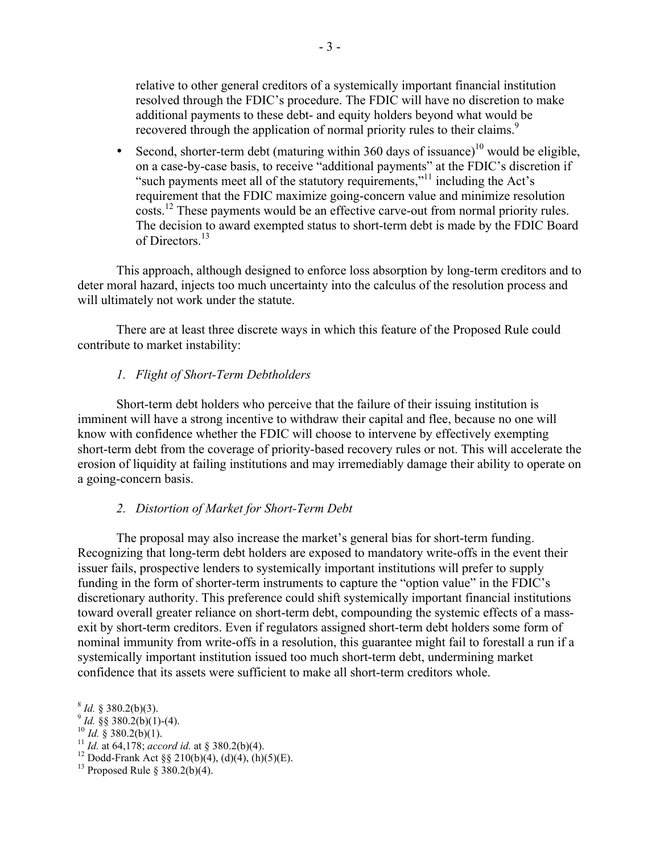relative to other general creditors of a systemically important financial institution resolved through the FDIC's procedure. The FDIC will have no discretion to make additional payments to these debt- and equity holders beyond what would be recovered through the application of normal priority rules to their claims.<sup>9</sup>

• Second, shorter-term debt (maturing within 360 days of issuance)<sup>10</sup> would be eligible, on a case-by-case basis, to receive "additional payments" at the FDIC's discretion if "such payments meet all of the statutory requirements,"<sup>11</sup> including the Act's requirement that the FDIC maximize going-concern value and minimize resolution costs.<sup>12</sup> These payments would be an effective carve-out from normal priority rules. The decision to award exempted status to short-term debt is made by the FDIC Board of Directors<sup>13</sup>

This approach, although designed to enforce loss absorption by long-term creditors and to deter moral hazard, injects too much uncertainty into the calculus of the resolution process and will ultimately not work under the statute.

There are at least three discrete ways in which this feature of the Proposed Rule could contribute to market instability:

## *1. Flight of Short-Term Debtholders*

Short-term debt holders who perceive that the failure of their issuing institution is imminent will have a strong incentive to withdraw their capital and flee, because no one will know with confidence whether the FDIC will choose to intervene by effectively exempting short-term debt from the coverage of priority-based recovery rules or not. This will accelerate the erosion of liquidity at failing institutions and may irremediably damage their ability to operate on a going-concern basis.

### *2. Distortion of Market for Short-Term Debt*

The proposal may also increase the market's general bias for short-term funding. Recognizing that long-term debt holders are exposed to mandatory write-offs in the event their issuer fails, prospective lenders to systemically important institutions will prefer to supply funding in the form of shorter-term instruments to capture the "option value" in the FDIC's discretionary authority. This preference could shift systemically important financial institutions toward overall greater reliance on short-term debt, compounding the systemic effects of a massexit by short-term creditors. Even if regulators assigned short-term debt holders some form of nominal immunity from write-offs in a resolution, this guarantee might fail to forestall a run if a systemically important institution issued too much short-term debt, undermining market confidence that its assets were sufficient to make all short-term creditors whole.

- 
- 

<sup>8</sup> *Id.* § 380.2(b)(3).<br><sup>9</sup> *Id.* §§ 380.2(b)(1)-(4).<br><sup>10</sup> *Id.* § 380.2(b)(1).<br><sup>11</sup> *Id.* at 64,178; accord id. at § 380.2(b)(4).<br><sup>12</sup> Dodd-Frank Act §§ 210(b)(4), (d)(4), (h)(5)(E).<br><sup>13</sup> Proposed Rule § 380.2(b)(4).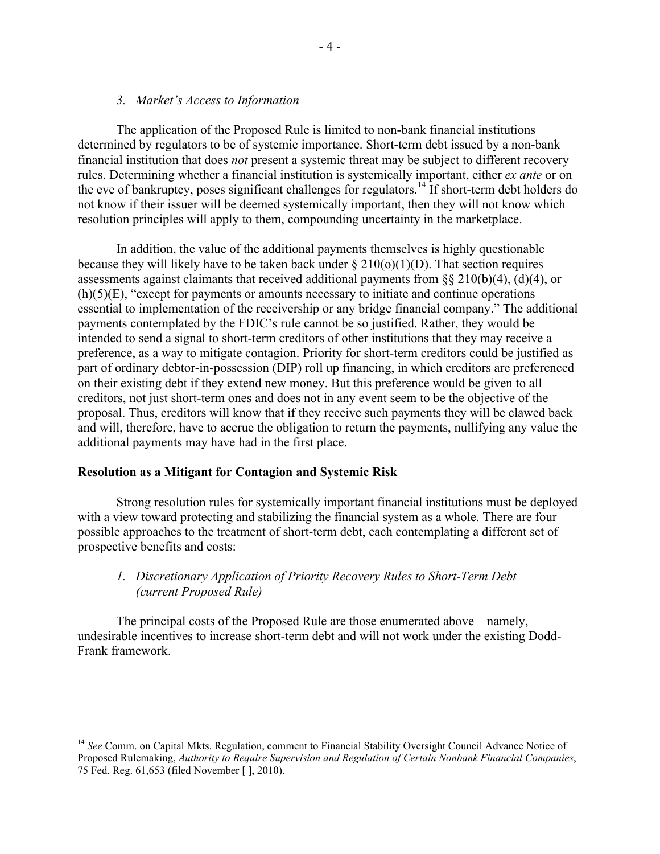## *3. Market's Access to Information*

The application of the Proposed Rule is limited to non-bank financial institutions determined by regulators to be of systemic importance. Short-term debt issued by a non-bank financial institution that does *not* present a systemic threat may be subject to different recovery rules. Determining whether a financial institution is systemically important, either *ex ante* or on the eve of bankruptcy, poses significant challenges for regulators.<sup>14</sup> If short-term debt holders do not know if their issuer will be deemed systemically important, then they will not know which resolution principles will apply to them, compounding uncertainty in the marketplace.

In addition, the value of the additional payments themselves is highly questionable because they will likely have to be taken back under  $\S 210(0)(1)(D)$ . That section requires assessments against claimants that received additional payments from §§ 210(b)(4), (d)(4), or  $(h)(5)(E)$ , "except for payments or amounts necessary to initiate and continue operations essential to implementation of the receivership or any bridge financial company." The additional payments contemplated by the FDIC's rule cannot be so justified. Rather, they would be intended to send a signal to short-term creditors of other institutions that they may receive a preference, as a way to mitigate contagion. Priority for short-term creditors could be justified as part of ordinary debtor-in-possession (DIP) roll up financing, in which creditors are preferenced on their existing debt if they extend new money. But this preference would be given to all creditors, not just short-term ones and does not in any event seem to be the objective of the proposal. Thus, creditors will know that if they receive such payments they will be clawed back and will, therefore, have to accrue the obligation to return the payments, nullifying any value the additional payments may have had in the first place.

### **Resolution as a Mitigant for Contagion and Systemic Risk**

Strong resolution rules for systemically important financial institutions must be deployed with a view toward protecting and stabilizing the financial system as a whole. There are four possible approaches to the treatment of short-term debt, each contemplating a different set of prospective benefits and costs:

# *1. Discretionary Application of Priority Recovery Rules to Short-Term Debt (current Proposed Rule)*

The principal costs of the Proposed Rule are those enumerated above—namely, undesirable incentives to increase short-term debt and will not work under the existing Dodd-Frank framework.

<sup>&</sup>lt;sup>14</sup> See Comm. on Capital Mkts. Regulation, comment to Financial Stability Oversight Council Advance Notice of Proposed Rulemaking, *Authority to Require Supervision and Regulation of Certain Nonbank Financial Companies*, 75 Fed. Reg. 61,653 (filed November [ ], 2010).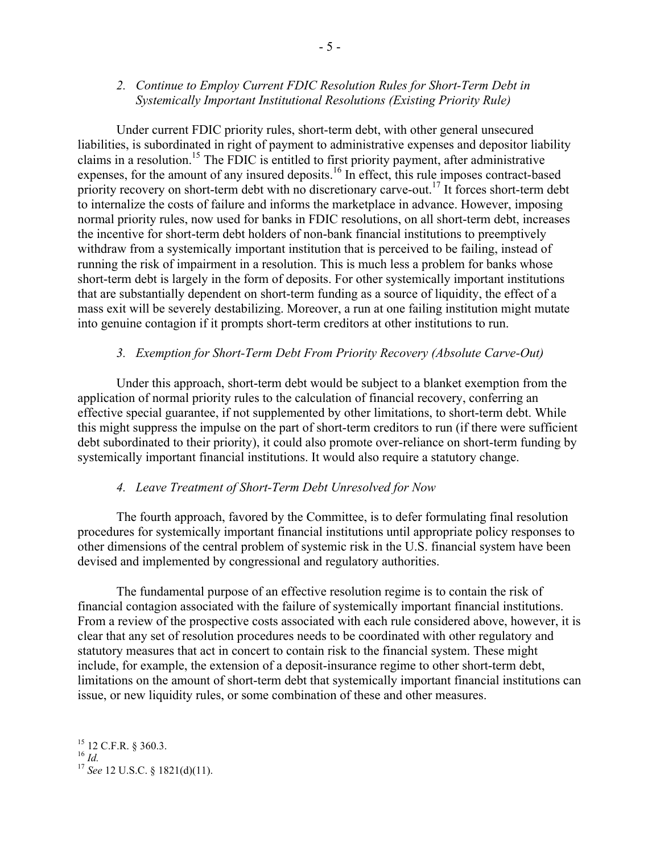## *2. Continue to Employ Current FDIC Resolution Rules for Short-Term Debt in Systemically Important Institutional Resolutions (Existing Priority Rule)*

Under current FDIC priority rules, short-term debt, with other general unsecured liabilities, is subordinated in right of payment to administrative expenses and depositor liability claims in a resolution.15 The FDIC is entitled to first priority payment, after administrative expenses, for the amount of any insured deposits.<sup>16</sup> In effect, this rule imposes contract-based priority recovery on short-term debt with no discretionary carve-out.<sup>17</sup> It forces short-term debt to internalize the costs of failure and informs the marketplace in advance. However, imposing normal priority rules, now used for banks in FDIC resolutions, on all short-term debt, increases the incentive for short-term debt holders of non-bank financial institutions to preemptively withdraw from a systemically important institution that is perceived to be failing, instead of running the risk of impairment in a resolution. This is much less a problem for banks whose short-term debt is largely in the form of deposits. For other systemically important institutions that are substantially dependent on short-term funding as a source of liquidity, the effect of a mass exit will be severely destabilizing. Moreover, a run at one failing institution might mutate into genuine contagion if it prompts short-term creditors at other institutions to run.

## *3. Exemption for Short-Term Debt From Priority Recovery (Absolute Carve-Out)*

Under this approach, short-term debt would be subject to a blanket exemption from the application of normal priority rules to the calculation of financial recovery, conferring an effective special guarantee, if not supplemented by other limitations, to short-term debt. While this might suppress the impulse on the part of short-term creditors to run (if there were sufficient debt subordinated to their priority), it could also promote over-reliance on short-term funding by systemically important financial institutions. It would also require a statutory change.

### *4. Leave Treatment of Short-Term Debt Unresolved for Now*

The fourth approach, favored by the Committee, is to defer formulating final resolution procedures for systemically important financial institutions until appropriate policy responses to other dimensions of the central problem of systemic risk in the U.S. financial system have been devised and implemented by congressional and regulatory authorities.

The fundamental purpose of an effective resolution regime is to contain the risk of financial contagion associated with the failure of systemically important financial institutions. From a review of the prospective costs associated with each rule considered above, however, it is clear that any set of resolution procedures needs to be coordinated with other regulatory and statutory measures that act in concert to contain risk to the financial system. These might include, for example, the extension of a deposit-insurance regime to other short-term debt, limitations on the amount of short-term debt that systemically important financial institutions can issue, or new liquidity rules, or some combination of these and other measures.

 $^{15}$  12 C.F.R. § 360.3.<br> $^{16}$  *Id.* <sup>16</sup> *Id.* <sup>17</sup> *See* 12 U.S.C. § 1821(d)(11).